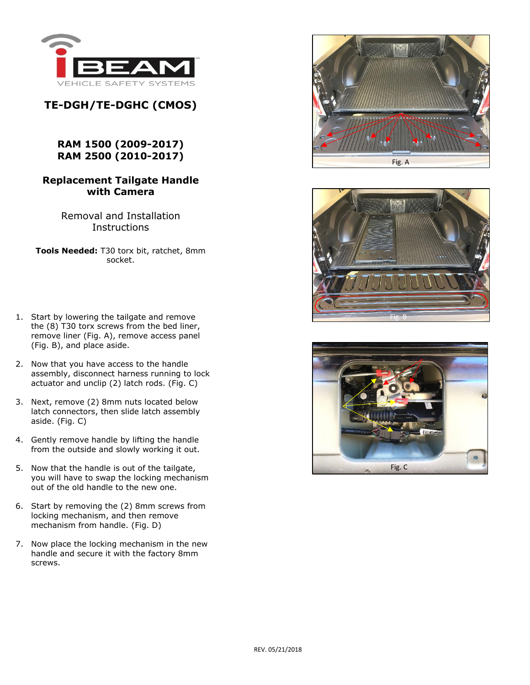

## **TE-DGH/TE-DGHC (CMOS)**

## **RAM 1500 (2009-2017) RAM 2500 (2010-2017)**

## **Replacement Tailgate Handle with Camera**

Removal and Installation **Instructions** 

**Tools Needed:** T30 torx bit, ratchet, 8mm socket.

- 1. Start by lowering the tailgate and remove the (8) T30 torx screws from the bed liner, remove liner (Fig. A), remove access panel (Fig. B), and place aside.
- 2. Now that you have access to the handle assembly, disconnect harness running to lock actuator and unclip (2) latch rods. (Fig. C)
- 3. Next, remove (2) 8mm nuts located below latch connectors, then slide latch assembly aside. (Fig. C)
- 4. Gently remove handle by lifting the handle from the outside and slowly working it out.
- 5. Now that the handle is out of the tailgate, you will have to swap the locking mechanism out of the old handle to the new one.
- 6. Start by removing the (2) 8mm screws from locking mechanism, and then remove mechanism from handle. (Fig. D)
- 7. Now place the locking mechanism in the new handle and secure it with the factory 8mm screws.